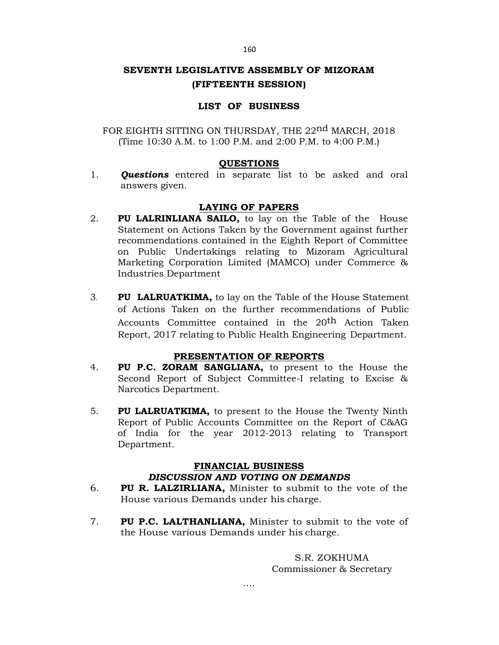#### 160

# **SEVENTH LEGISLATIVE ASSEMBLY OF MIZORAM (FIFTEENTH SESSION)**

## **LIST OF BUSINESS**

FOR EIGHTH SITTING ON THURSDAY, THE 22<sup>nd</sup> MARCH, 2018 (Time 10:30 A.M. to 1:00 P.M. and 2:00 P.M. to 4:00 P.M.)

### **QUESTIONS**

1. *Questions* entered in separate list to be asked and oral answers given.

## **LAYING OF PAPERS**

- 2. **PU LALRINLIANA SAILO,** to lay on the Table of the House Statement on Actions Taken by the Government against further recommendations contained in the Eighth Report of Committee on Public Undertakings relating to Mizoram Agricultural Marketing Corporation Limited (MAMCO) under Commerce & Industries Department
- 3. **PU LALRUATKIMA,** to lay on the Table of the House Statement of Actions Taken on the further recommendations of Public Accounts Committee contained in the 20<sup>th</sup> Action Taken Report, 2017 relating to Public Health Engineering Department.

#### **PRESENTATION OF REPORTS**

- 4. **PU P.C. ZORAM SANGLIANA,** to present to the House the Second Report of Subject Committee-I relating to Excise & Narcotics Department.
- 5. **PU LALRUATKIMA,** to present to the House the Twenty Ninth Report of Public Accounts Committee on the Report of C&AG of India for the year 2012-2013 relating to Transport Department.

## **FINANCIAL BUSINESS**

## *DISCUSSION AND VOTING ON DEMANDS*

- 6. **PU R. LALZIRLIANA,** Minister to submit to the vote of the House various Demands under his charge.
- 7. **PU P.C. LALTHANLIANA,** Minister to submit to the vote of the House various Demands under his charge.

S.R. ZOKHUMA Commissioner & Secretary

….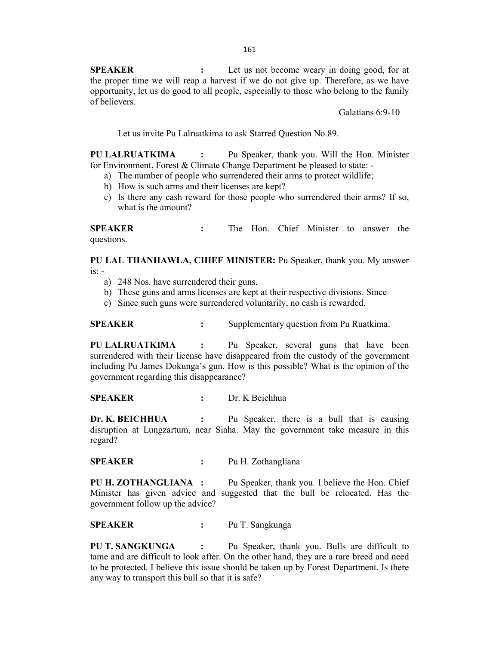**SPEAKER** : Let us not become weary in doing good, for at the proper time we will reap a harvest if we do not give up. Therefore, as we have opportunity, let us do good to all people, especially to those who belong to the family of believers.

Galatians 6:9-10

Let us invite Pu Lalruatkima to ask Starred Question No.89.

**PU LALRUATKIMA :** Pu Speaker, thank you. Will the Hon. Minister for Environment, Forest & Climate Change Department be pleased to state: -

- a) The number of people who surrendered their arms to protect wildlife;
- b) How is such arms and their licenses are kept?
- c) Is there any cash reward for those people who surrendered their arms? If so, what is the amount?

**SPEAKER :** The Hon. Chief Minister to answer the questions.

**PU LAL THANHAWLA, CHIEF MINISTER:** Pu Speaker, thank you. My answer  $is: -$ 

- a) 248 Nos. have surrendered their guns.
- b) These guns and arms licenses are kept at their respective divisions. Since
- c) Since such guns were surrendered voluntarily, no cash is rewarded.

**SPEAKER :** Supplementary question from Pu Ruatkima.

**PU LALRUATKIMA :** Pu Speaker, several guns that have been surrendered with their license have disappeared from the custody of the government including Pu James Dokunga's gun. How is this possible? What is the opinion of the government regarding this disappearance?

**SPEAKER :** Dr. K Beichhua

**Dr. K. BEICHHUA :** Pu Speaker, there is a bull that is causing disruption at Lungzartum, near Siaha. May the government take measure in this regard?

**SPEAKER :** Pu H. Zothangliana

**PU H. ZOTHANGLIANA :** Pu Speaker, thank you. I believe the Hon. Chief Minister has given advice and suggested that the bull be relocated. Has the government follow up the advice?

**SPEAKER :** Pu T. Sangkunga

**PU T. SANGKUNGA :** Pu Speaker, thank you. Bulls are difficult to tame and are difficult to look after. On the other hand, they are a rare breed and need to be protected. I believe this issue should be taken up by Forest Department. Is there any way to transport this bull so that it is safe?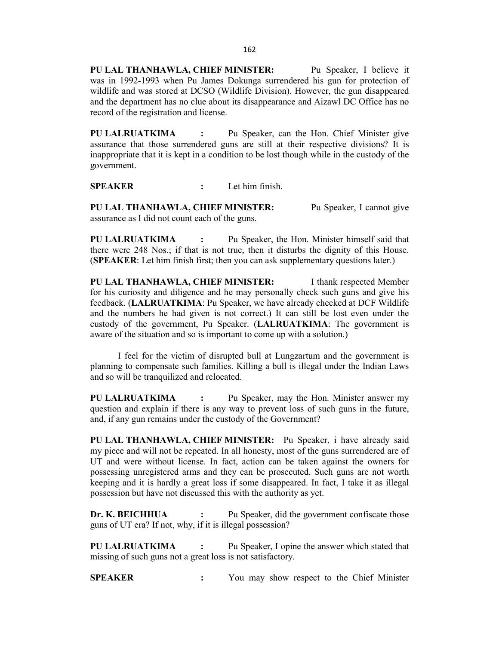**PU LAL THANHAWLA, CHIEF MINISTER:** Pu Speaker, I believe it was in 1992-1993 when Pu James Dokunga surrendered his gun for protection of wildlife and was stored at DCSO (Wildlife Division). However, the gun disappeared and the department has no clue about its disappearance and Aizawl DC Office has no record of the registration and license.

**PU LALRUATKIMA :** Pu Speaker, can the Hon. Chief Minister give assurance that those surrendered guns are still at their respective divisions? It is inappropriate that it is kept in a condition to be lost though while in the custody of the government.

**SPEAKER :** Let him finish.

**PU LAL THANHAWLA, CHIEF MINISTER:** Pu Speaker, I cannot give assurance as I did not count each of the guns.

**PU LALRUATKIMA :** Pu Speaker, the Hon. Minister himself said that there were 248 Nos.; if that is not true, then it disturbs the dignity of this House. (**SPEAKER**: Let him finish first; then you can ask supplementary questions later.)

**PU LAL THANHAWLA, CHIEF MINISTER:** I thank respected Member for his curiosity and diligence and he may personally check such guns and give his feedback. (**LALRUATKIMA**: Pu Speaker, we have already checked at DCF Wildlife and the numbers he had given is not correct.) It can still be lost even under the custody of the government, Pu Speaker. (**LALRUATKIMA**: The government is aware of the situation and so is important to come up with a solution.)

I feel for the victim of disrupted bull at Lungzartum and the government is planning to compensate such families. Killing a bull is illegal under the Indian Laws and so will be tranquilized and relocated.

**PU LALRUATKIMA :** Pu Speaker, may the Hon. Minister answer my question and explain if there is any way to prevent loss of such guns in the future, and, if any gun remains under the custody of the Government?

**PU LAL THANHAWLA, CHIEF MINISTER:** Pu Speaker, i have already said my piece and will not be repeated. In all honesty, most of the guns surrendered are of UT and were without license. In fact, action can be taken against the owners for possessing unregistered arms and they can be prosecuted. Such guns are not worth keeping and it is hardly a great loss if some disappeared. In fact, I take it as illegal possession but have not discussed this with the authority as yet.

**Dr. K. BEICHHUA :** Pu Speaker, did the government confiscate those guns of UT era? If not, why, if it is illegal possession?

**PU LALRUATKIMA :** Pu Speaker, I opine the answer which stated that missing of such guns not a great loss is not satisfactory.

**SPEAKER :** You may show respect to the Chief Minister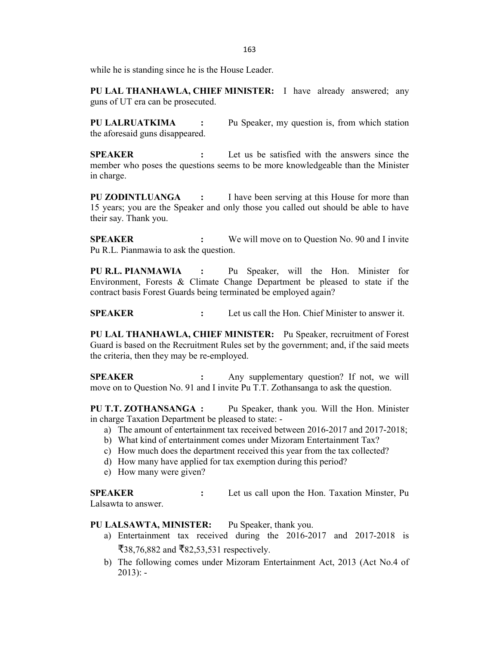while he is standing since he is the House Leader.

**PU LAL THANHAWLA, CHIEF MINISTER:** I have already answered; any guns of UT era can be prosecuted.

**PU LALRUATKIMA :** Pu Speaker, my question is, from which station the aforesaid guns disappeared.

**SPEAKER :** Let us be satisfied with the answers since the member who poses the questions seems to be more knowledgeable than the Minister in charge.

**PU ZODINTLUANGA :** I have been serving at this House for more than 15 years; you are the Speaker and only those you called out should be able to have their say. Thank you.

**SPEAKER :** We will move on to Question No. 90 and I invite Pu R.L. Pianmawia to ask the question.

**PU R.L. PIANMAWIA :** Pu Speaker, will the Hon. Minister for Environment, Forests & Climate Change Department be pleased to state if the contract basis Forest Guards being terminated be employed again?

**SPEAKER :** Let us call the Hon. Chief Minister to answer it.

**PU LAL THANHAWLA, CHIEF MINISTER:** Pu Speaker, recruitment of Forest Guard is based on the Recruitment Rules set by the government; and, if the said meets the criteria, then they may be re-employed.

**SPEAKER :** Any supplementary question? If not, we will move on to Question No. 91 and I invite Pu T.T. Zothansanga to ask the question.

**PU T.T. ZOTHANSANGA :** Pu Speaker, thank you. Will the Hon. Minister in charge Taxation Department be pleased to state: -

- a) The amount of entertainment tax received between 2016-2017 and 2017-2018;
- b) What kind of entertainment comes under Mizoram Entertainment Tax?
- c) How much does the department received this year from the tax collected?
- d) How many have applied for tax exemption during this period?
- e) How many were given?

**SPEAKER :** Let us call upon the Hon. Taxation Minster, Pu Lalsawta to answer.

**PU LALSAWTA, MINISTER:** Pu Speaker, thank you.

- a) Entertainment tax received during the 2016-2017 and 2017-2018 is ₹38,76,882 and ₹82,53,531 respectively.
- b) The following comes under Mizoram Entertainment Act, 2013 (Act No.4 of  $2013$ : -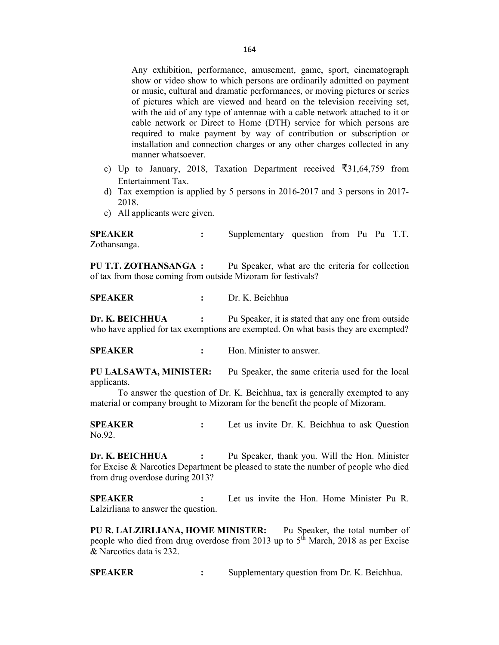Any exhibition, performance, amusement, game, sport, cinematograph show or video show to which persons are ordinarily admitted on payment or music, cultural and dramatic performances, or moving pictures or series of pictures which are viewed and heard on the television receiving set, with the aid of any type of antennae with a cable network attached to it or cable network or Direct to Home (DTH) service for which persons are required to make payment by way of contribution or subscription or installation and connection charges or any other charges collected in any manner whatsoever.

- c) Up to January, 2018, Taxation Department received  $\overline{5}31,64,759$  from Entertainment Tax.
- d) Tax exemption is applied by 5 persons in 2016-2017 and 3 persons in 2017- 2018.
- e) All applicants were given.

**SPEAKER :** Supplementary question from Pu Pu T.T. Zothansanga.

**PU T.T. ZOTHANSANGA :** Pu Speaker, what are the criteria for collection of tax from those coming from outside Mizoram for festivals?

**SPEAKER :** Dr. K. Beichhua

**Dr. K. BEICHHUA** : Pu Speaker, it is stated that any one from outside who have applied for tax exemptions are exempted. On what basis they are exempted?

**SPEAKER** : Hon. Minister to answer.

**PU LALSAWTA, MINISTER:** Pu Speaker, the same criteria used for the local applicants.

To answer the question of Dr. K. Beichhua, tax is generally exempted to any material or company brought to Mizoram for the benefit the people of Mizoram.

**SPEAKER :** Let us invite Dr. K. Beichhua to ask Question No.92.

**Dr. K. BEICHHUA :** Pu Speaker, thank you. Will the Hon. Minister for Excise & Narcotics Department be pleased to state the number of people who died from drug overdose during 2013?

**SPEAKER :** Let us invite the Hon. Home Minister Pu R. Lalzirliana to answer the question.

**PU R. LALZIRLIANA, HOME MINISTER:** Pu Speaker, the total number of people who died from drug overdose from 2013 up to  $5<sup>th</sup>$  March, 2018 as per Excise & Narcotics data is 232.

**SPEAKER :** Supplementary question from Dr. K. Beichhua.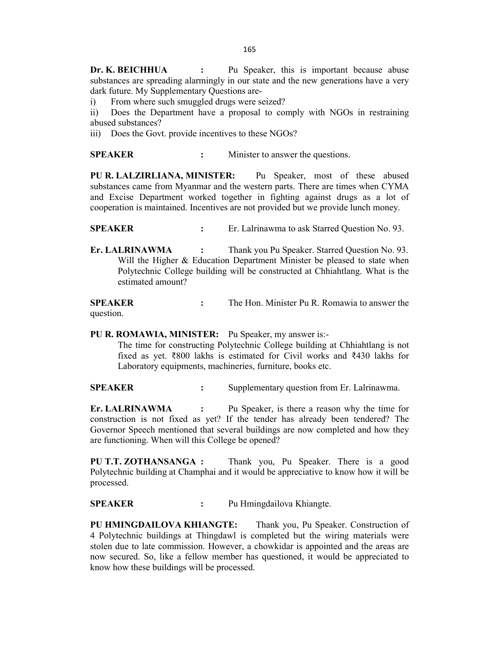**Dr. K. BEICHHUA :** Pu Speaker, this is important because abuse substances are spreading alarmingly in our state and the new generations have a very dark future. My Supplementary Questions are-

i) From where such smuggled drugs were seized?

ii) Does the Department have a proposal to comply with NGOs in restraining abused substances?

iii) Does the Govt. provide incentives to these NGOs?

**SPEAKER :** Minister to answer the questions.

**PU R. LALZIRLIANA, MINISTER:** Pu Speaker, most of these abused substances came from Myanmar and the western parts. There are times when CYMA and Excise Department worked together in fighting against drugs as a lot of cooperation is maintained. Incentives are not provided but we provide lunch money.

**SPEAKER :** Er. Lalrinawma to ask Starred Question No. 93.

**Er. LALRINAWMA :** Thank you Pu Speaker. Starred Question No. 93. Will the Higher & Education Department Minister be pleased to state when Polytechnic College building will be constructed at Chhiahtlang. What is the estimated amount?

**SPEAKER :** The Hon. Minister Pu R. Romawia to answer the question.

**PU R. ROMAWIA, MINISTER:** Pu Speaker, my answer is:-

The time for constructing Polytechnic College building at Chhiahtlang is not fixed as yet. ₹800 lakhs is estimated for Civil works and ₹430 lakhs for Laboratory equipments, machineries, furniture, books etc.

**SPEAKER** : Supplementary question from Er. Lalrinawma.

**Er. LALRINAWMA :** Pu Speaker, is there a reason why the time for construction is not fixed as yet? If the tender has already been tendered? The Governor Speech mentioned that several buildings are now completed and how they are functioning. When will this College be opened?

**PU T.T. ZOTHANSANGA :** Thank you, Pu Speaker. There is a good Polytechnic building at Champhai and it would be appreciative to know how it will be processed.

**SPEAKER :** Pu Hmingdailova Khiangte.

**PU HMINGDAILOVA KHIANGTE:** Thank you, Pu Speaker. Construction of 4 Polytechnic buildings at Thingdawl is completed but the wiring materials were stolen due to late commission. However, a chowkidar is appointed and the areas are now secured. So, like a fellow member has questioned, it would be appreciated to know how these buildings will be processed.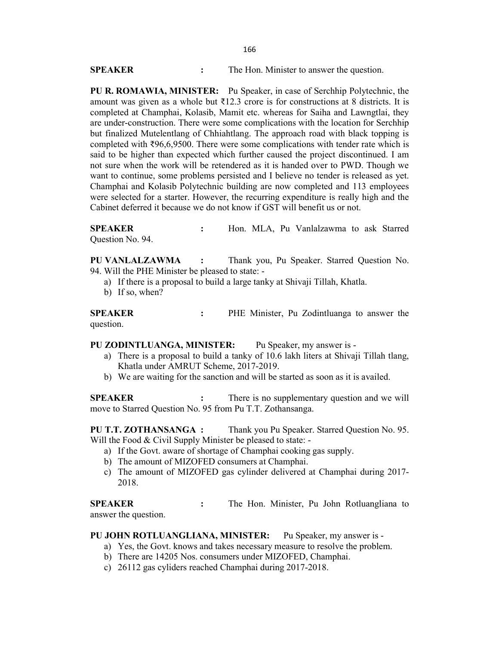| <b>SPEAKER</b> | The Hon. Minister to answer the question. |
|----------------|-------------------------------------------|
|                |                                           |

**PU R. ROMAWIA, MINISTER:** Pu Speaker, in case of Serchhip Polytechnic, the amount was given as a whole but  $\overline{3}12.3$  crore is for constructions at 8 districts. It is completed at Champhai, Kolasib, Mamit etc. whereas for Saiha and Lawngtlai, they are under-construction. There were some complications with the location for Serchhip but finalized Mutelentlang of Chhiahtlang. The approach road with black topping is completed with  $\text{\textdegree}596,6,9500$ . There were some complications with tender rate which is said to be higher than expected which further caused the project discontinued. I am not sure when the work will be retendered as it is handed over to PWD. Though we want to continue, some problems persisted and I believe no tender is released as yet. Champhai and Kolasib Polytechnic building are now completed and 113 employees were selected for a starter. However, the recurring expenditure is really high and the Cabinet deferred it because we do not know if GST will benefit us or not.

**SPEAKER :** Hon. MLA, Pu Vanlalzawma to ask Starred Question No. 94.

**PU VANLALZAWMA :** Thank you, Pu Speaker. Starred Question No. 94. Will the PHE Minister be pleased to state: -

- a) If there is a proposal to build a large tanky at Shivaji Tillah, Khatla.
- b) If so, when?

**SPEAKER :** PHE Minister, Pu Zodintluanga to answer the question.

**PU ZODINTLUANGA, MINISTER:** Pu Speaker, my answer is -

- a) There is a proposal to build a tanky of 10.6 lakh liters at Shivaji Tillah tlang, Khatla under AMRUT Scheme, 2017-2019.
- b) We are waiting for the sanction and will be started as soon as it is availed.

**SPEAKER :** There is no supplementary question and we will move to Starred Question No. 95 from Pu T.T. Zothansanga.

**PU T.T. ZOTHANSANGA :** Thank you Pu Speaker. Starred Question No. 95. Will the Food & Civil Supply Minister be pleased to state: -

- a) If the Govt. aware of shortage of Champhai cooking gas supply.
- b) The amount of MIZOFED consumers at Champhai.
- c) The amount of MIZOFED gas cylinder delivered at Champhai during 2017- 2018.

**SPEAKER :** The Hon. Minister, Pu John Rotluangliana to answer the question.

#### **PU JOHN ROTLUANGLIANA, MINISTER:** Pu Speaker, my answer is -

- a) Yes, the Govt. knows and takes necessary measure to resolve the problem.
- b) There are 14205 Nos. consumers under MIZOFED, Champhai.
- c) 26112 gas cyliders reached Champhai during 2017-2018.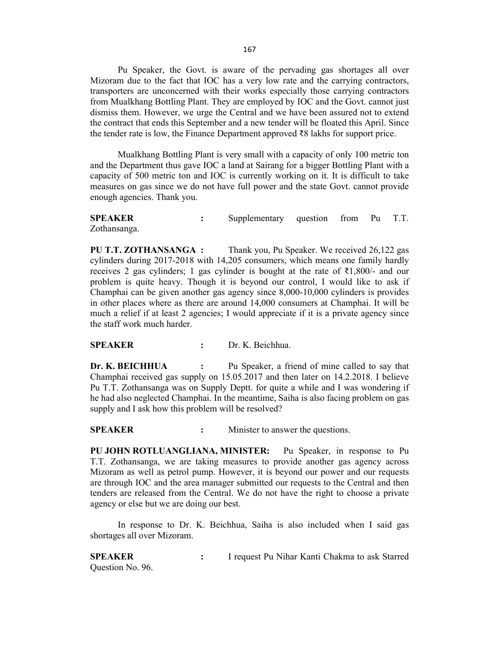Pu Speaker, the Govt. is aware of the pervading gas shortages all over Mizoram due to the fact that IOC has a very low rate and the carrying contractors, transporters are unconcerned with their works especially those carrying contractors from Mualkhang Bottling Plant. They are employed by IOC and the Govt. cannot just dismiss them. However, we urge the Central and we have been assured not to extend the contract that ends this September and a new tender will be floated this April. Since the tender rate is low, the Finance Department approved ₹8 lakhs for support price.

Mualkhang Bottling Plant is very small with a capacity of only 100 metric ton and the Department thus gave IOC a land at Sairang for a bigger Bottling Plant with a capacity of 500 metric ton and IOC is currently working on it. It is difficult to take measures on gas since we do not have full power and the state Govt. cannot provide enough agencies. Thank you.

**SPEAKER :** Supplementary question from Pu T.T. Zothansanga.

**PU T.T. ZOTHANSANGA :** Thank you, Pu Speaker. We received 26,122 gas cylinders during 2017-2018 with 14,205 consumers, which means one family hardly receives 2 gas cylinders; 1 gas cylinder is bought at the rate of  $\overline{\xi}1,800/4$  and our problem is quite heavy. Though it is beyond our control, I would like to ask if Champhai can be given another gas agency since 8,000-10,000 cylinders is provides in other places where as there are around 14,000 consumers at Champhai. It will be much a relief if at least 2 agencies; I would appreciate if it is a private agency since the staff work much harder.

## **SPEAKER :** Dr. K. Beichhua.

**Dr. K. BEICHHUA** : Pu Speaker, a friend of mine called to say that Champhai received gas supply on 15.05.2017 and then later on 14.2.2018. I believe Pu T.T. Zothansanga was on Supply Deptt. for quite a while and I was wondering if he had also neglected Champhai. In the meantime, Saiha is also facing problem on gas supply and I ask how this problem will be resolved?

**SPEAKER :** Minister to answer the questions.

**PU JOHN ROTLUANGLIANA, MINISTER:** Pu Speaker, in response to Pu T.T. Zothansanga, we are taking measures to provide another gas agency across Mizoram as well as petrol pump. However, it is beyond our power and our requests are through IOC and the area manager submitted our requests to the Central and then tenders are released from the Central. We do not have the right to choose a private agency or else but we are doing our best.

In response to Dr. K. Beichhua, Saiha is also included when I said gas shortages all over Mizoram.

**SPEAKER :** I request Pu Nihar Kanti Chakma to ask Starred Question No. 96.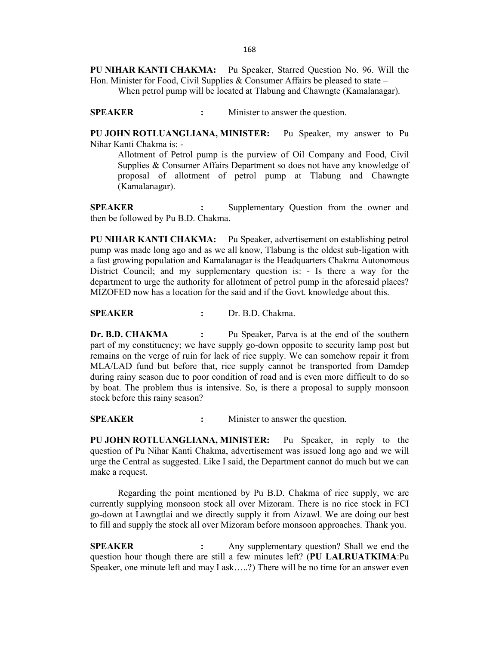**PU NIHAR KANTI CHAKMA:** Pu Speaker, Starred Question No. 96. Will the Hon. Minister for Food, Civil Supplies & Consumer Affairs be pleased to state  $-$ When petrol pump will be located at Tlabung and Chawngte (Kamalanagar).

**SPEAKER :** Minister to answer the question.

**PU JOHN ROTLUANGLIANA, MINISTER:** Pu Speaker, my answer to Pu Nihar Kanti Chakma is: -

Allotment of Petrol pump is the purview of Oil Company and Food, Civil Supplies & Consumer Affairs Department so does not have any knowledge of proposal of allotment of petrol pump at Tlabung and Chawngte (Kamalanagar).

**SPEAKER :** Supplementary Question from the owner and then be followed by Pu B.D. Chakma.

**PU NIHAR KANTI CHAKMA:** Pu Speaker, advertisement on establishing petrol pump was made long ago and as we all know, Tlabung is the oldest sub-ligation with a fast growing population and Kamalanagar is the Headquarters Chakma Autonomous District Council; and my supplementary question is: - Is there a way for the department to urge the authority for allotment of petrol pump in the aforesaid places? MIZOFED now has a location for the said and if the Govt. knowledge about this.

**SPEAKER :** Dr. B.D. Chakma.

**Dr. B.D. CHAKMA** : Pu Speaker, Parva is at the end of the southern part of my constituency; we have supply go-down opposite to security lamp post but remains on the verge of ruin for lack of rice supply. We can somehow repair it from MLA/LAD fund but before that, rice supply cannot be transported from Damdep during rainy season due to poor condition of road and is even more difficult to do so by boat. The problem thus is intensive. So, is there a proposal to supply monsoon stock before this rainy season?

**SPEAKER :** Minister to answer the question.

**PU JOHN ROTLUANGLIANA, MINISTER:** Pu Speaker, in reply to the question of Pu Nihar Kanti Chakma, advertisement was issued long ago and we will urge the Central as suggested. Like I said, the Department cannot do much but we can make a request.

Regarding the point mentioned by Pu B.D. Chakma of rice supply, we are currently supplying monsoon stock all over Mizoram. There is no rice stock in FCI go-down at Lawngtlai and we directly supply it from Aizawl. We are doing our best to fill and supply the stock all over Mizoram before monsoon approaches. Thank you.

**SPEAKER** : Any supplementary question? Shall we end the question hour though there are still a few minutes left? (**PU LALRUATKIMA**:Pu Speaker, one minute left and may I ask…..?) There will be no time for an answer even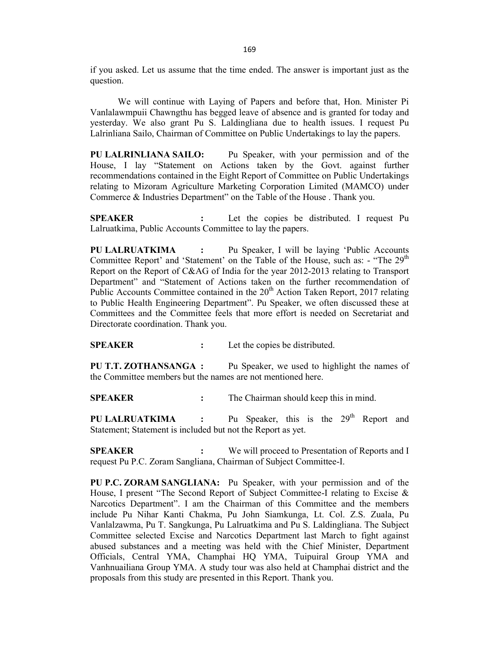if you asked. Let us assume that the time ended. The answer is important just as the question.

We will continue with Laying of Papers and before that, Hon. Minister Pi Vanlalawmpuii Chawngthu has begged leave of absence and is granted for today and yesterday. We also grant Pu S. Laldingliana due to health issues. I request Pu Lalrinliana Sailo, Chairman of Committee on Public Undertakings to lay the papers.

**PU LALRINLIANA SAILO:** Pu Speaker, with your permission and of the House, I lay "Statement on Actions taken by the Govt. against further recommendations contained in the Eight Report of Committee on Public Undertakings relating to Mizoram Agriculture Marketing Corporation Limited (MAMCO) under Commerce & Industries Department" on the Table of the House . Thank you.

**SPEAKER :** Let the copies be distributed. I request Pu Lalruatkima, Public Accounts Committee to lay the papers.

**PU LALRUATKIMA :** Pu Speaker, I will be laying 'Public Accounts Committee Report' and 'Statement' on the Table of the House, such as:  $-$  "The 29<sup>th</sup> Report on the Report of C&AG of India for the year 2012-2013 relating to Transport Department" and "Statement of Actions taken on the further recommendation of Public Accounts Committee contained in the  $20<sup>th</sup>$  Action Taken Report, 2017 relating to Public Health Engineering Department". Pu Speaker, we often discussed these at Committees and the Committee feels that more effort is needed on Secretariat and Directorate coordination. Thank you.

**SPEAKER :** Let the copies be distributed.

**PU T.T. ZOTHANSANGA :** Pu Speaker, we used to highlight the names of the Committee members but the names are not mentioned here.

**SPEAKER :** The Chairman should keep this in mind.

**PU LALRUATKIMA** : Pu Speaker, this is the 29<sup>th</sup> Report and Statement; Statement is included but not the Report as yet.

**SPEAKER :** We will proceed to Presentation of Reports and I request Pu P.C. Zoram Sangliana, Chairman of Subject Committee-I.

**PU P.C. ZORAM SANGLIANA:** Pu Speaker, with your permission and of the House, I present "The Second Report of Subject Committee-I relating to Excise & Narcotics Department". I am the Chairman of this Committee and the members include Pu Nihar Kanti Chakma, Pu John Siamkunga, Lt. Col. Z.S. Zuala, Pu Vanlalzawma, Pu T. Sangkunga, Pu Lalruatkima and Pu S. Laldingliana. The Subject Committee selected Excise and Narcotics Department last March to fight against abused substances and a meeting was held with the Chief Minister, Department Officials, Central YMA, Champhai HQ YMA, Tuipuiral Group YMA and Vanhnuailiana Group YMA. A study tour was also held at Champhai district and the proposals from this study are presented in this Report. Thank you.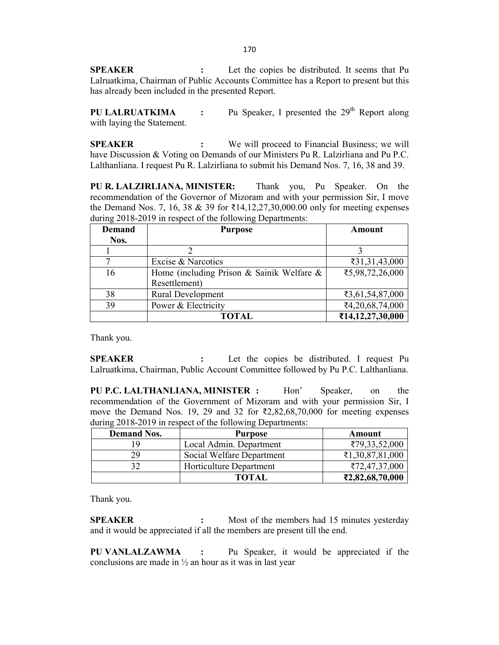**SPEAKER** : Let the copies be distributed. It seems that Pu Lalruatkima, Chairman of Public Accounts Committee has a Report to present but this has already been included in the presented Report.

**PU LALRUATKIMA** : Pu Speaker, I presented the 29<sup>th</sup> Report along with laying the Statement.

**SPEAKER :** We will proceed to Financial Business; we will have Discussion & Voting on Demands of our Ministers Pu R. Lalzirliana and Pu P.C. Lalthanliana. I request Pu R. Lalzirliana to submit his Demand Nos. 7, 16, 38 and 39.

**PU R. LALZIRLIANA, MINISTER:** Thank you, Pu Speaker. On the recommendation of the Governor of Mizoram and with your permission Sir, I move the Demand Nos. 7, 16, 38 & 39 for  $\bar{\ell}14, 12, 27, 30, 000.00$  only for meeting expenses during 2018-2019 in respect of the following Departments:

| <b>Demand</b> | <b>Purpose</b>                            | Amount           |
|---------------|-------------------------------------------|------------------|
| Nos.          |                                           |                  |
|               |                                           |                  |
| 7             | Excise & Narcotics                        | ₹31,31,43,000    |
| 16            | Home (including Prison & Sainik Welfare & | ₹5,98,72,26,000  |
|               | Resettlement)                             |                  |
| 38            | <b>Rural Development</b>                  | ₹3,61,54,87,000  |
| 39            | Power & Electricity                       | ₹4,20,68,74,000  |
|               | <b>TOTAL</b>                              | ₹14,12,27,30,000 |

Thank you.

**SPEAKER :** Let the copies be distributed. I request Pu Lalruatkima, Chairman, Public Account Committee followed by Pu P.C. Lalthanliana.

**PU P.C. LALTHANLIANA, MINISTER :** Hon' Speaker, on the recommendation of the Government of Mizoram and with your permission Sir, I move the Demand Nos. 19, 29 and 32 for ₹2,82,68,70,000 for meeting expenses during 2018-2019 in respect of the following Departments:

| <b>Demand Nos.</b> | <b>Purpose</b>            | Amount                               |
|--------------------|---------------------------|--------------------------------------|
| 19                 | Local Admin. Department   | ₹79,33,52,000                        |
| 29                 | Social Welfare Department | $\text{\textsterling}1,30,87,81,000$ |
| 27                 | Horticulture Department   | ₹72,47,37,000                        |
|                    | <b>TOTAL</b>              | ₹2,82,68,70,000                      |

Thank you.

**SPEAKER :** Most of the members had 15 minutes yesterday and it would be appreciated if all the members are present till the end.

**PU VANLALZAWMA :** Pu Speaker, it would be appreciated if the conclusions are made in  $\frac{1}{2}$  an hour as it was in last year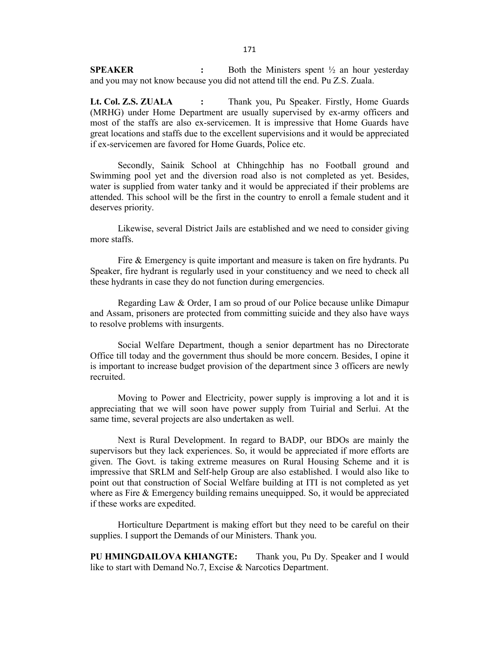**SPEAKER :** Both the Ministers spent ½ an hour yesterday and you may not know because you did not attend till the end. Pu Z.S. Zuala.

**Lt. Col. Z.S. ZUALA :** Thank you, Pu Speaker. Firstly, Home Guards (MRHG) under Home Department are usually supervised by ex-army officers and most of the staffs are also ex-servicemen. It is impressive that Home Guards have great locations and staffs due to the excellent supervisions and it would be appreciated if ex-servicemen are favored for Home Guards, Police etc.

Secondly, Sainik School at Chhingchhip has no Football ground and Swimming pool yet and the diversion road also is not completed as yet. Besides, water is supplied from water tanky and it would be appreciated if their problems are attended. This school will be the first in the country to enroll a female student and it deserves priority.

Likewise, several District Jails are established and we need to consider giving more staffs.

Fire & Emergency is quite important and measure is taken on fire hydrants. Pu Speaker, fire hydrant is regularly used in your constituency and we need to check all these hydrants in case they do not function during emergencies.

Regarding Law & Order, I am so proud of our Police because unlike Dimapur and Assam, prisoners are protected from committing suicide and they also have ways to resolve problems with insurgents.

Social Welfare Department, though a senior department has no Directorate Office till today and the government thus should be more concern. Besides, I opine it is important to increase budget provision of the department since 3 officers are newly recruited.

Moving to Power and Electricity, power supply is improving a lot and it is appreciating that we will soon have power supply from Tuirial and Serlui. At the same time, several projects are also undertaken as well.

Next is Rural Development. In regard to BADP, our BDOs are mainly the supervisors but they lack experiences. So, it would be appreciated if more efforts are given. The Govt. is taking extreme measures on Rural Housing Scheme and it is impressive that SRLM and Self-help Group are also established. I would also like to point out that construction of Social Welfare building at ITI is not completed as yet where as Fire & Emergency building remains unequipped. So, it would be appreciated if these works are expedited.

Horticulture Department is making effort but they need to be careful on their supplies. I support the Demands of our Ministers. Thank you.

**PU HMINGDAILOVA KHIANGTE:** Thank you, Pu Dy. Speaker and I would like to start with Demand No.7, Excise & Narcotics Department.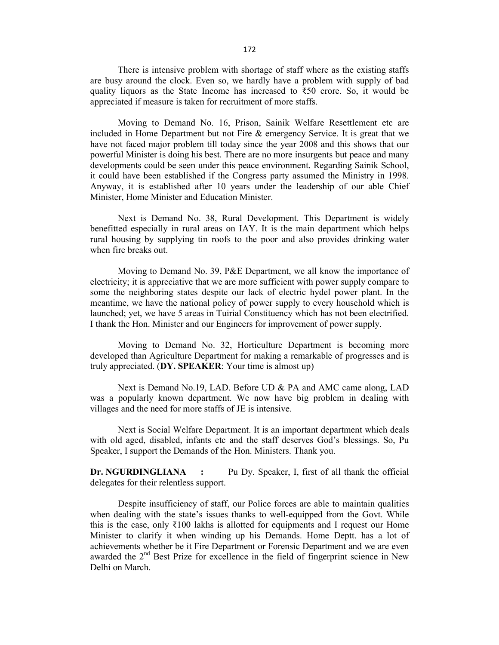There is intensive problem with shortage of staff where as the existing staffs are busy around the clock. Even so, we hardly have a problem with supply of bad quality liquors as the State Income has increased to ₹50 crore. So, it would be appreciated if measure is taken for recruitment of more staffs.

Moving to Demand No. 16, Prison, Sainik Welfare Resettlement etc are included in Home Department but not Fire & emergency Service. It is great that we have not faced major problem till today since the year 2008 and this shows that our powerful Minister is doing his best. There are no more insurgents but peace and many developments could be seen under this peace environment. Regarding Sainik School, it could have been established if the Congress party assumed the Ministry in 1998. Anyway, it is established after 10 years under the leadership of our able Chief Minister, Home Minister and Education Minister.

Next is Demand No. 38, Rural Development. This Department is widely benefitted especially in rural areas on IAY. It is the main department which helps rural housing by supplying tin roofs to the poor and also provides drinking water when fire breaks out.

Moving to Demand No. 39, P&E Department, we all know the importance of electricity; it is appreciative that we are more sufficient with power supply compare to some the neighboring states despite our lack of electric hydel power plant. In the meantime, we have the national policy of power supply to every household which is launched; yet, we have 5 areas in Tuirial Constituency which has not been electrified. I thank the Hon. Minister and our Engineers for improvement of power supply.

Moving to Demand No. 32, Horticulture Department is becoming more developed than Agriculture Department for making a remarkable of progresses and is truly appreciated. (**DY. SPEAKER**: Your time is almost up)

Next is Demand No.19, LAD. Before UD & PA and AMC came along, LAD was a popularly known department. We now have big problem in dealing with villages and the need for more staffs of JE is intensive.

Next is Social Welfare Department. It is an important department which deals with old aged, disabled, infants etc and the staff deserves God's blessings. So, Pu Speaker, I support the Demands of the Hon. Ministers. Thank you.

**Dr. NGURDINGLIANA :** Pu Dy. Speaker, I, first of all thank the official delegates for their relentless support.

Despite insufficiency of staff, our Police forces are able to maintain qualities when dealing with the state's issues thanks to well-equipped from the Govt. While this is the case, only  $\bar{\xi}100$  lakhs is allotted for equipments and I request our Home Minister to clarify it when winding up his Demands. Home Deptt. has a lot of achievements whether be it Fire Department or Forensic Department and we are even awarded the  $2<sup>nd</sup>$  Best Prize for excellence in the field of fingerprint science in New Delhi on March.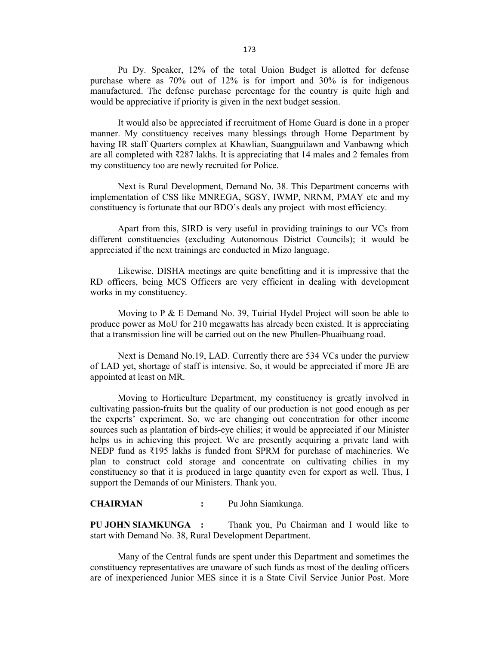Pu Dy. Speaker, 12% of the total Union Budget is allotted for defense purchase where as 70% out of 12% is for import and 30% is for indigenous manufactured. The defense purchase percentage for the country is quite high and would be appreciative if priority is given in the next budget session.

It would also be appreciated if recruitment of Home Guard is done in a proper manner. My constituency receives many blessings through Home Department by having IR staff Quarters complex at Khawlian, Suangpuilawn and Vanbawng which are all completed with ₹287 lakhs. It is appreciating that 14 males and 2 females from my constituency too are newly recruited for Police.

Next is Rural Development, Demand No. 38. This Department concerns with implementation of CSS like MNREGA, SGSY, IWMP, NRNM, PMAY etc and my constituency is fortunate that our BDO's deals any project with most efficiency.

Apart from this, SIRD is very useful in providing trainings to our VCs from different constituencies (excluding Autonomous District Councils); it would be appreciated if the next trainings are conducted in Mizo language.

Likewise, DISHA meetings are quite benefitting and it is impressive that the RD officers, being MCS Officers are very efficient in dealing with development works in my constituency.

Moving to P & E Demand No. 39, Tuirial Hydel Project will soon be able to produce power as MoU for 210 megawatts has already been existed. It is appreciating that a transmission line will be carried out on the new Phullen-Phuaibuang road.

Next is Demand No.19, LAD. Currently there are 534 VCs under the purview of LAD yet, shortage of staff is intensive. So, it would be appreciated if more JE are appointed at least on MR.

Moving to Horticulture Department, my constituency is greatly involved in cultivating passion-fruits but the quality of our production is not good enough as per the experts' experiment. So, we are changing out concentration for other income sources such as plantation of birds-eye chilies; it would be appreciated if our Minister helps us in achieving this project. We are presently acquiring a private land with NEDP fund as ₹195 lakhs is funded from SPRM for purchase of machineries. We plan to construct cold storage and concentrate on cultivating chilies in my constituency so that it is produced in large quantity even for export as well. Thus, I support the Demands of our Ministers. Thank you.

**CHAIRMAN :** Pu John Siamkunga.

**PU JOHN SIAMKUNGA :** Thank you, Pu Chairman and I would like to start with Demand No. 38, Rural Development Department.

Many of the Central funds are spent under this Department and sometimes the constituency representatives are unaware of such funds as most of the dealing officers are of inexperienced Junior MES since it is a State Civil Service Junior Post. More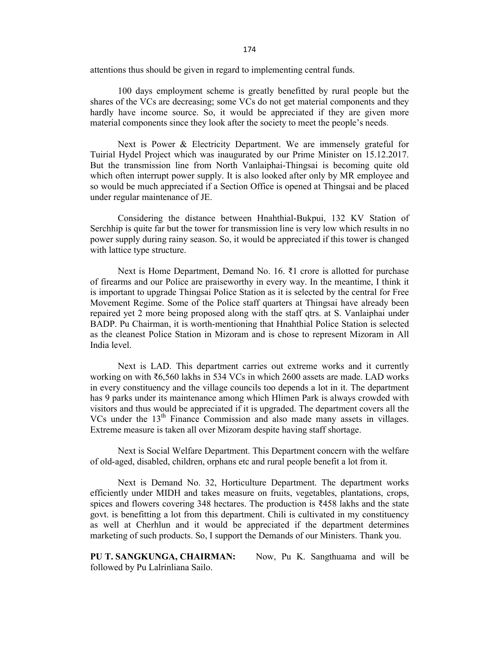174

attentions thus should be given in regard to implementing central funds.

100 days employment scheme is greatly benefitted by rural people but the shares of the VCs are decreasing; some VCs do not get material components and they hardly have income source. So, it would be appreciated if they are given more material components since they look after the society to meet the people's needs.

Next is Power & Electricity Department. We are immensely grateful for Tuirial Hydel Project which was inaugurated by our Prime Minister on 15.12.2017. But the transmission line from North Vanlaiphai-Thingsai is becoming quite old which often interrupt power supply. It is also looked after only by MR employee and so would be much appreciated if a Section Office is opened at Thingsai and be placed under regular maintenance of JE.

Considering the distance between Hnahthial-Bukpui, 132 KV Station of Serchhip is quite far but the tower for transmission line is very low which results in no power supply during rainy season. So, it would be appreciated if this tower is changed with lattice type structure.

Next is Home Department, Demand No. 16. ₹1 crore is allotted for purchase of firearms and our Police are praiseworthy in every way. In the meantime, I think it is important to upgrade Thingsai Police Station as it is selected by the central for Free Movement Regime. Some of the Police staff quarters at Thingsai have already been repaired yet 2 more being proposed along with the staff qtrs. at S. Vanlaiphai under BADP. Pu Chairman, it is worth-mentioning that Hnahthial Police Station is selected as the cleanest Police Station in Mizoram and is chose to represent Mizoram in All India level.

Next is LAD. This department carries out extreme works and it currently working on with ₹6,560 lakhs in 534 VCs in which 2600 assets are made. LAD works in every constituency and the village councils too depends a lot in it. The department has 9 parks under its maintenance among which Hlimen Park is always crowded with visitors and thus would be appreciated if it is upgraded. The department covers all the VCs under the  $13<sup>th</sup>$  Finance Commission and also made many assets in villages. Extreme measure is taken all over Mizoram despite having staff shortage.

Next is Social Welfare Department. This Department concern with the welfare of old-aged, disabled, children, orphans etc and rural people benefit a lot from it.

Next is Demand No. 32, Horticulture Department. The department works efficiently under MIDH and takes measure on fruits, vegetables, plantations, crops, spices and flowers covering 348 hectares. The production is ₹458 lakhs and the state govt. is benefitting a lot from this department. Chili is cultivated in my constituency as well at Cherhlun and it would be appreciated if the department determines marketing of such products. So, I support the Demands of our Ministers. Thank you.

**PU T. SANGKUNGA, CHAIRMAN:** Now, Pu K. Sangthuama and will be followed by Pu Lalrinliana Sailo.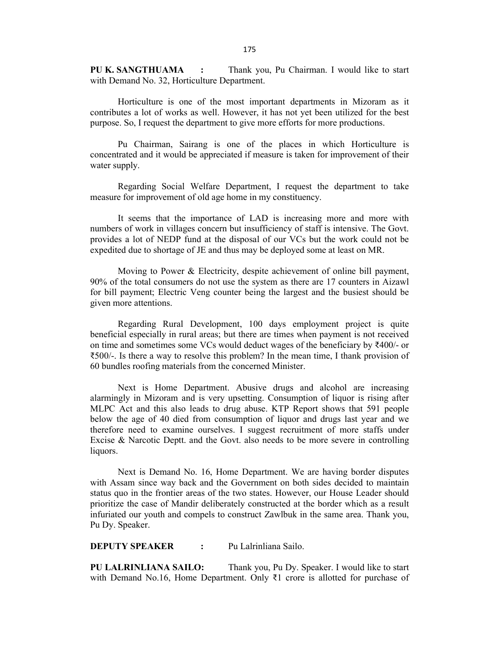**PU K. SANGTHUAMA :** Thank you, Pu Chairman. I would like to start with Demand No. 32, Horticulture Department.

Horticulture is one of the most important departments in Mizoram as it contributes a lot of works as well. However, it has not yet been utilized for the best purpose. So, I request the department to give more efforts for more productions.

Pu Chairman, Sairang is one of the places in which Horticulture is concentrated and it would be appreciated if measure is taken for improvement of their water supply.

Regarding Social Welfare Department, I request the department to take measure for improvement of old age home in my constituency.

It seems that the importance of LAD is increasing more and more with numbers of work in villages concern but insufficiency of staff is intensive. The Govt. provides a lot of NEDP fund at the disposal of our VCs but the work could not be expedited due to shortage of JE and thus may be deployed some at least on MR.

Moving to Power & Electricity, despite achievement of online bill payment, 90% of the total consumers do not use the system as there are 17 counters in Aizawl for bill payment; Electric Veng counter being the largest and the busiest should be given more attentions.

Regarding Rural Development, 100 days employment project is quite beneficial especially in rural areas; but there are times when payment is not received on time and sometimes some VCs would deduct wages of the beneficiary by ₹400/- or ₹500/-. Is there a way to resolve this problem? In the mean time, I thank provision of 60 bundles roofing materials from the concerned Minister.

Next is Home Department. Abusive drugs and alcohol are increasing alarmingly in Mizoram and is very upsetting. Consumption of liquor is rising after MLPC Act and this also leads to drug abuse. KTP Report shows that 591 people below the age of 40 died from consumption of liquor and drugs last year and we therefore need to examine ourselves. I suggest recruitment of more staffs under Excise & Narcotic Deptt. and the Govt. also needs to be more severe in controlling liquors.

Next is Demand No. 16, Home Department. We are having border disputes with Assam since way back and the Government on both sides decided to maintain status quo in the frontier areas of the two states. However, our House Leader should prioritize the case of Mandir deliberately constructed at the border which as a result infuriated our youth and compels to construct Zawlbuk in the same area. Thank you, Pu Dy. Speaker.

**DEPUTY SPEAKER :** Pu Lalrinliana Sailo.

**PU LALRINLIANA SAILO:** Thank you, Pu Dy. Speaker. I would like to start with Demand No.16, Home Department. Only ₹1 crore is allotted for purchase of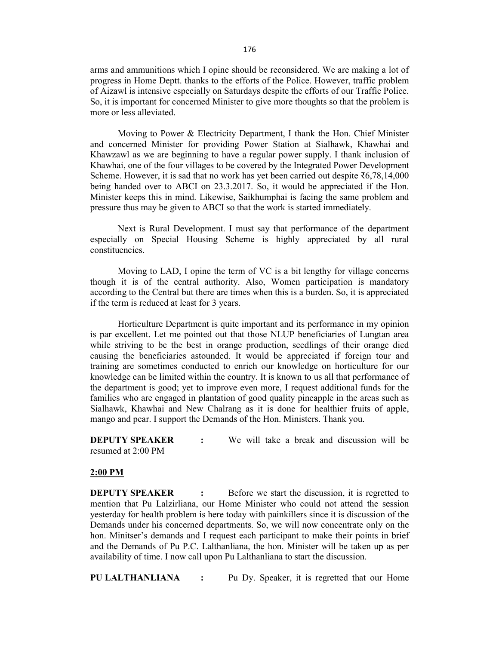arms and ammunitions which I opine should be reconsidered. We are making a lot of progress in Home Deptt. thanks to the efforts of the Police. However, traffic problem of Aizawl is intensive especially on Saturdays despite the efforts of our Traffic Police. So, it is important for concerned Minister to give more thoughts so that the problem is more or less alleviated.

Moving to Power & Electricity Department, I thank the Hon. Chief Minister and concerned Minister for providing Power Station at Sialhawk, Khawhai and Khawzawl as we are beginning to have a regular power supply. I thank inclusion of Khawhai, one of the four villages to be covered by the Integrated Power Development Scheme. However, it is sad that no work has yet been carried out despite ₹6,78,14,000 being handed over to ABCI on 23.3.2017. So, it would be appreciated if the Hon. Minister keeps this in mind. Likewise, Saikhumphai is facing the same problem and pressure thus may be given to ABCI so that the work is started immediately.

Next is Rural Development. I must say that performance of the department especially on Special Housing Scheme is highly appreciated by all rural constituencies.

Moving to LAD, I opine the term of VC is a bit lengthy for village concerns though it is of the central authority. Also, Women participation is mandatory according to the Central but there are times when this is a burden. So, it is appreciated if the term is reduced at least for 3 years.

Horticulture Department is quite important and its performance in my opinion is par excellent. Let me pointed out that those NLUP beneficiaries of Lungtan area while striving to be the best in orange production, seedlings of their orange died causing the beneficiaries astounded. It would be appreciated if foreign tour and training are sometimes conducted to enrich our knowledge on horticulture for our knowledge can be limited within the country. It is known to us all that performance of the department is good; yet to improve even more, I request additional funds for the families who are engaged in plantation of good quality pineapple in the areas such as Sialhawk, Khawhai and New Chalrang as it is done for healthier fruits of apple, mango and pear. I support the Demands of the Hon. Ministers. Thank you.

**DEPUTY SPEAKER :** We will take a break and discussion will be resumed at 2:00 PM

#### **2:00 PM**

**DEPUTY SPEAKER** : Before we start the discussion, it is regretted to mention that Pu Lalzirliana, our Home Minister who could not attend the session yesterday for health problem is here today with painkillers since it is discussion of the Demands under his concerned departments. So, we will now concentrate only on the hon. Minitser's demands and I request each participant to make their points in brief and the Demands of Pu P.C. Lalthanliana, the hon. Minister will be taken up as per availability of time. I now call upon Pu Lalthanliana to start the discussion.

**PU LALTHANLIANA :** Pu Dy. Speaker, it is regretted that our Home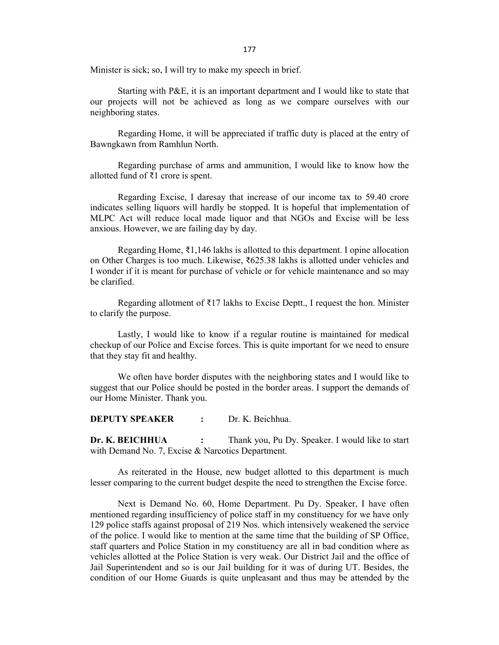177

Minister is sick; so, I will try to make my speech in brief.

Starting with P&E, it is an important department and I would like to state that our projects will not be achieved as long as we compare ourselves with our neighboring states.

Regarding Home, it will be appreciated if traffic duty is placed at the entry of Bawngkawn from Ramhlun North.

Regarding purchase of arms and ammunition, I would like to know how the allotted fund of ₹1 crore is spent.

Regarding Excise, I daresay that increase of our income tax to 59.40 crore indicates selling liquors will hardly be stopped. It is hopeful that implementation of MLPC Act will reduce local made liquor and that NGOs and Excise will be less anxious. However, we are failing day by day.

Regarding Home, ₹1,146 lakhs is allotted to this department. I opine allocation on Other Charges is too much. Likewise, ₹625.38 lakhs is allotted under vehicles and I wonder if it is meant for purchase of vehicle or for vehicle maintenance and so may be clarified.

Regarding allotment of ₹17 lakhs to Excise Deptt., I request the hon. Minister to clarify the purpose.

Lastly, I would like to know if a regular routine is maintained for medical checkup of our Police and Excise forces. This is quite important for we need to ensure that they stay fit and healthy.

We often have border disputes with the neighboring states and I would like to suggest that our Police should be posted in the border areas. I support the demands of our Home Minister. Thank you.

**DEPUTY SPEAKER :** Dr. K. Beichhua.

**Dr. K. BEICHHUA :** Thank you, Pu Dy. Speaker. I would like to start with Demand No. 7, Excise & Narcotics Department.

As reiterated in the House, new budget allotted to this department is much lesser comparing to the current budget despite the need to strengthen the Excise force.

Next is Demand No. 60, Home Department. Pu Dy. Speaker, I have often mentioned regarding insufficiency of police staff in my constituency for we have only 129 police staffs against proposal of 219 Nos. which intensively weakened the service of the police. I would like to mention at the same time that the building of SP Office, staff quarters and Police Station in my constituency are all in bad condition where as vehicles allotted at the Police Station is very weak. Our District Jail and the office of Jail Superintendent and so is our Jail building for it was of during UT. Besides, the condition of our Home Guards is quite unpleasant and thus may be attended by the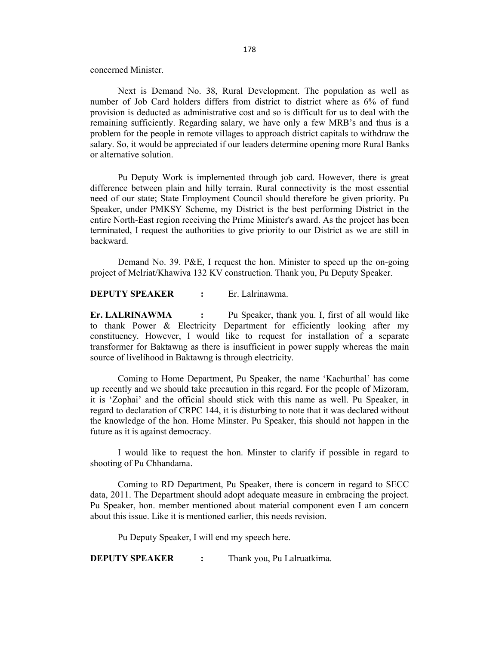concerned Minister.

Next is Demand No. 38, Rural Development. The population as well as number of Job Card holders differs from district to district where as 6% of fund provision is deducted as administrative cost and so is difficult for us to deal with the remaining sufficiently. Regarding salary, we have only a few MRB's and thus is a problem for the people in remote villages to approach district capitals to withdraw the salary. So, it would be appreciated if our leaders determine opening more Rural Banks or alternative solution.

Pu Deputy Work is implemented through job card. However, there is great difference between plain and hilly terrain. Rural connectivity is the most essential need of our state; State Employment Council should therefore be given priority. Pu Speaker, under PMKSY Scheme, my District is the best performing District in the entire North-East region receiving the Prime Minister's award. As the project has been terminated, I request the authorities to give priority to our District as we are still in backward.

Demand No. 39. P&E, I request the hon. Minister to speed up the on-going project of Melriat/Khawiva 132 KV construction. Thank you, Pu Deputy Speaker.

**DEPUTY SPEAKER :** Er. Lalrinawma.

**Er. LALRINAWMA :** Pu Speaker, thank you. I, first of all would like to thank Power & Electricity Department for efficiently looking after my constituency. However, I would like to request for installation of a separate transformer for Baktawng as there is insufficient in power supply whereas the main source of livelihood in Baktawng is through electricity.

Coming to Home Department, Pu Speaker, the name 'Kachurthal' has come up recently and we should take precaution in this regard. For the people of Mizoram, it is 'Zophai' and the official should stick with this name as well. Pu Speaker, in regard to declaration of CRPC 144, it is disturbing to note that it was declared without the knowledge of the hon. Home Minster. Pu Speaker, this should not happen in the future as it is against democracy.

I would like to request the hon. Minster to clarify if possible in regard to shooting of Pu Chhandama.

Coming to RD Department, Pu Speaker, there is concern in regard to SECC data, 2011. The Department should adopt adequate measure in embracing the project. Pu Speaker, hon. member mentioned about material component even I am concern about this issue. Like it is mentioned earlier, this needs revision.

Pu Deputy Speaker, I will end my speech here.

**DEPUTY SPEAKER :** Thank you, Pu Lalruatkima.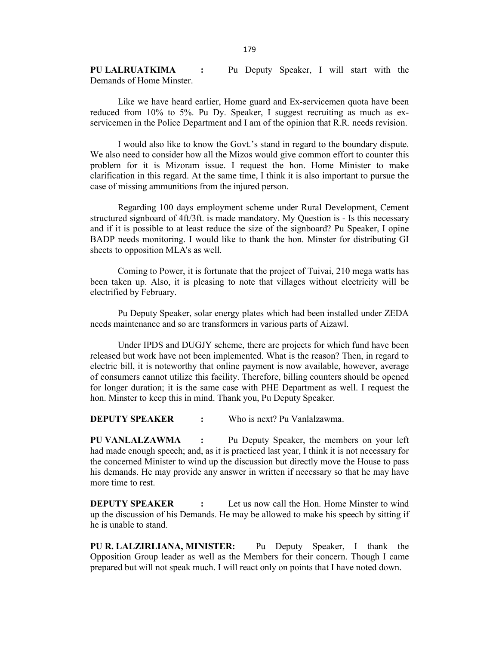**PU LALRUATKIMA :** Pu Deputy Speaker, I will start with the Demands of Home Minster.

Like we have heard earlier, Home guard and Ex-servicemen quota have been reduced from 10% to 5%. Pu Dy. Speaker, I suggest recruiting as much as exservicemen in the Police Department and I am of the opinion that R.R. needs revision.

I would also like to know the Govt.'s stand in regard to the boundary dispute. We also need to consider how all the Mizos would give common effort to counter this problem for it is Mizoram issue. I request the hon. Home Minister to make clarification in this regard. At the same time, I think it is also important to pursue the case of missing ammunitions from the injured person.

Regarding 100 days employment scheme under Rural Development, Cement structured signboard of 4ft/3ft. is made mandatory. My Question is - Is this necessary and if it is possible to at least reduce the size of the signboard? Pu Speaker, I opine BADP needs monitoring. I would like to thank the hon. Minster for distributing GI sheets to opposition MLA's as well.

Coming to Power, it is fortunate that the project of Tuivai, 210 mega watts has been taken up. Also, it is pleasing to note that villages without electricity will be electrified by February.

Pu Deputy Speaker, solar energy plates which had been installed under ZEDA needs maintenance and so are transformers in various parts of Aizawl.

Under IPDS and DUGJY scheme, there are projects for which fund have been released but work have not been implemented. What is the reason? Then, in regard to electric bill, it is noteworthy that online payment is now available, however, average of consumers cannot utilize this facility. Therefore, billing counters should be opened for longer duration; it is the same case with PHE Department as well. I request the hon. Minster to keep this in mind. Thank you, Pu Deputy Speaker.

**DEPUTY SPEAKER :** Who is next? Pu Vanlalzawma.

**PU VANLALZAWMA :** Pu Deputy Speaker, the members on your left had made enough speech; and, as it is practiced last year, I think it is not necessary for the concerned Minister to wind up the discussion but directly move the House to pass his demands. He may provide any answer in written if necessary so that he may have more time to rest.

**DEPUTY SPEAKER :** Let us now call the Hon. Home Minster to wind up the discussion of his Demands. He may be allowed to make his speech by sitting if he is unable to stand.

**PU R. LALZIRLIANA, MINISTER:** Pu Deputy Speaker, I thank the Opposition Group leader as well as the Members for their concern. Though I came prepared but will not speak much. I will react only on points that I have noted down.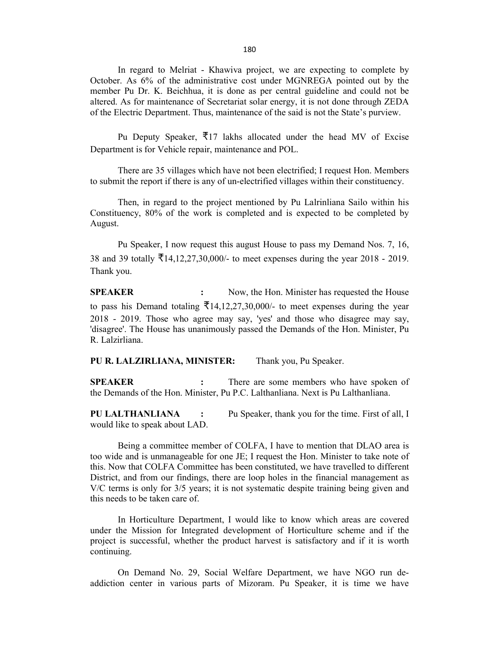In regard to Melriat - Khawiva project, we are expecting to complete by October. As 6% of the administrative cost under MGNREGA pointed out by the member Pu Dr. K. Beichhua, it is done as per central guideline and could not be altered. As for maintenance of Secretariat solar energy, it is not done through ZEDA of the Electric Department. Thus, maintenance of the said is not the State's purview.

Pu Deputy Speaker,  $\overline{\xi}$ 17 lakhs allocated under the head MV of Excise Department is for Vehicle repair, maintenance and POL.

There are 35 villages which have not been electrified; I request Hon. Members to submit the report if there is any of un-electrified villages within their constituency.

Then, in regard to the project mentioned by Pu Lalrinliana Sailo within his Constituency, 80% of the work is completed and is expected to be completed by August.

Pu Speaker, I now request this august House to pass my Demand Nos. 7, 16, 38 and 39 totally ₹14,12,27,30,000/- to meet expenses during the year 2018 - 2019. Thank you.

**SPEAKER :** Now, the Hon. Minister has requested the House to pass his Demand totaling  $\bar{\xi}$ 14,12,27,30,000/- to meet expenses during the year 2018 - 2019. Those who agree may say, 'yes' and those who disagree may say, 'disagree'. The House has unanimously passed the Demands of the Hon. Minister, Pu R. Lalzirliana.

**PU R. LALZIRLIANA, MINISTER:** Thank you, Pu Speaker.

**SPEAKER :** There are some members who have spoken of the Demands of the Hon. Minister, Pu P.C. Lalthanliana. Next is Pu Lalthanliana.

**PU LALTHANLIANA :** Pu Speaker, thank you for the time. First of all, I would like to speak about LAD.

Being a committee member of COLFA, I have to mention that DLAO area is too wide and is unmanageable for one JE; I request the Hon. Minister to take note of this. Now that COLFA Committee has been constituted, we have travelled to different District, and from our findings, there are loop holes in the financial management as V/C terms is only for 3/5 years; it is not systematic despite training being given and this needs to be taken care of.

In Horticulture Department, I would like to know which areas are covered under the Mission for Integrated development of Horticulture scheme and if the project is successful, whether the product harvest is satisfactory and if it is worth continuing.

On Demand No. 29, Social Welfare Department, we have NGO run deaddiction center in various parts of Mizoram. Pu Speaker, it is time we have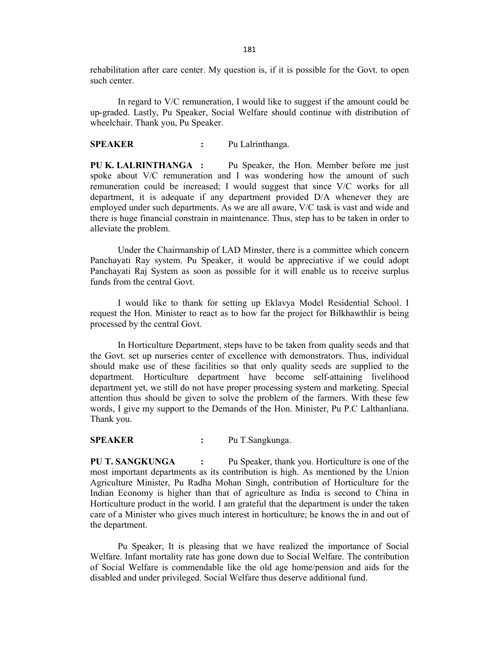rehabilitation after care center. My question is, if it is possible for the Govt. to open such center.

In regard to V/C remuneration, I would like to suggest if the amount could be up-graded. Lastly, Pu Speaker, Social Welfare should continue with distribution of wheelchair. Thank you, Pu Speaker.

#### **SPEAKER :** Pu Lalrinthanga.

**PU K. LALRINTHANGA :** Pu Speaker, the Hon. Member before me just spoke about V/C remuneration and I was wondering how the amount of such remuneration could be increased; I would suggest that since V/C works for all department, it is adequate if any department provided D/A whenever they are employed under such departments. As we are all aware, V/C task is vast and wide and there is huge financial constrain in maintenance. Thus, step has to be taken in order to alleviate the problem.

Under the Chairmanship of LAD Minster, there is a committee which concern Panchayati Ray system. Pu Speaker, it would be appreciative if we could adopt Panchayati Raj System as soon as possible for it will enable us to receive surplus funds from the central Govt.

I would like to thank for setting up Eklavya Model Residential School. I request the Hon. Minister to react as to how far the project for Bilkhawthlir is being processed by the central Govt.

In Horticulture Department, steps have to be taken from quality seeds and that the Govt. set up nurseries center of excellence with demonstrators. Thus, individual should make use of these facilities so that only quality seeds are supplied to the department. Horticulture department have become self-attaining livelihood department yet, we still do not have proper processing system and marketing. Special attention thus should be given to solve the problem of the farmers. With these few words, I give my support to the Demands of the Hon. Minister, Pu P.C Lalthanliana. Thank you.

#### **SPEAKER :** Pu T.Sangkunga.

**PU T. SANGKUNGA :** Pu Speaker, thank you. Horticulture is one of the most important departments as its contribution is high. As mentioned by the Union Agriculture Minister, Pu Radha Mohan Singh, contribution of Horticulture for the Indian Economy is higher than that of agriculture as India is second to China in Horticulture product in the world. I am grateful that the department is under the taken care of a Minister who gives much interest in horticulture; he knows the in and out of the department.

Pu Speaker, It is pleasing that we have realized the importance of Social Welfare. Infant mortality rate has gone down due to Social Welfare. The contribution of Social Welfare is commendable like the old age home/pension and aids for the disabled and under privileged. Social Welfare thus deserve additional fund.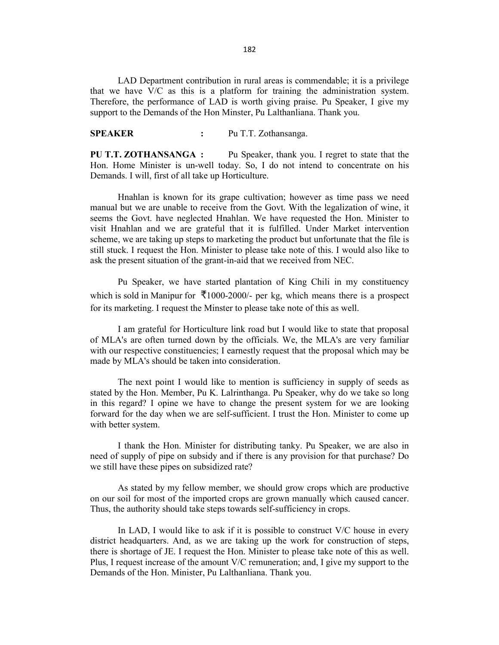LAD Department contribution in rural areas is commendable; it is a privilege that we have V/C as this is a platform for training the administration system. Therefore, the performance of LAD is worth giving praise. Pu Speaker, I give my support to the Demands of the Hon Minster, Pu Lalthanliana. Thank you.

## **SPEAKER :** Pu T.T. Zothansanga.

**PU T.T. ZOTHANSANGA :** Pu Speaker, thank you. I regret to state that the Hon. Home Minister is un-well today. So, I do not intend to concentrate on his Demands. I will, first of all take up Horticulture.

Hnahlan is known for its grape cultivation; however as time pass we need manual but we are unable to receive from the Govt. With the legalization of wine, it seems the Govt. have neglected Hnahlan. We have requested the Hon. Minister to visit Hnahlan and we are grateful that it is fulfilled. Under Market intervention scheme, we are taking up steps to marketing the product but unfortunate that the file is still stuck. I request the Hon. Minister to please take note of this. I would also like to ask the present situation of the grant-in-aid that we received from NEC.

Pu Speaker, we have started plantation of King Chili in my constituency which is sold in Manipur for  $\overline{\mathcal{F}}$ 1000-2000/- per kg, which means there is a prospect for its marketing. I request the Minster to please take note of this as well.

I am grateful for Horticulture link road but I would like to state that proposal of MLA's are often turned down by the officials. We, the MLA's are very familiar with our respective constituencies; I earnestly request that the proposal which may be made by MLA's should be taken into consideration.

The next point I would like to mention is sufficiency in supply of seeds as stated by the Hon. Member, Pu K. Lalrinthanga. Pu Speaker, why do we take so long in this regard? I opine we have to change the present system for we are looking forward for the day when we are self-sufficient. I trust the Hon. Minister to come up with better system.

I thank the Hon. Minister for distributing tanky. Pu Speaker, we are also in need of supply of pipe on subsidy and if there is any provision for that purchase? Do we still have these pipes on subsidized rate?

As stated by my fellow member, we should grow crops which are productive on our soil for most of the imported crops are grown manually which caused cancer. Thus, the authority should take steps towards self-sufficiency in crops.

In LAD, I would like to ask if it is possible to construct  $V/C$  house in every district headquarters. And, as we are taking up the work for construction of steps, there is shortage of JE. I request the Hon. Minister to please take note of this as well. Plus, I request increase of the amount V/C remuneration; and, I give my support to the Demands of the Hon. Minister, Pu Lalthanliana. Thank you.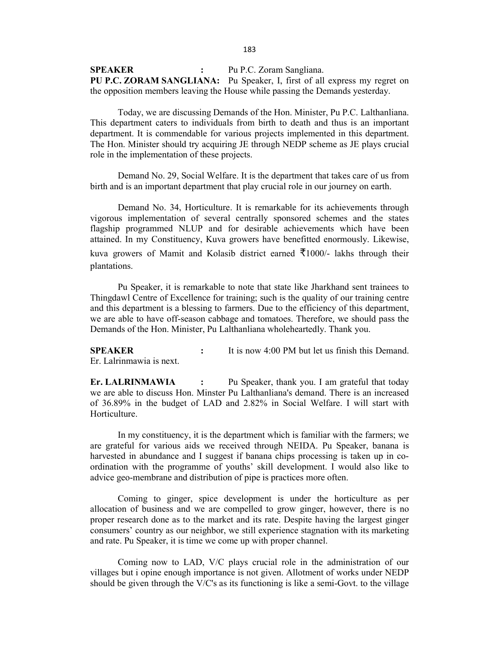**SPEAKER :** Pu P.C. Zoram Sangliana. **PU P.C. ZORAM SANGLIANA:** Pu Speaker, I, first of all express my regret on the opposition members leaving the House while passing the Demands yesterday.

Today, we are discussing Demands of the Hon. Minister, Pu P.C. Lalthanliana. This department caters to individuals from birth to death and thus is an important department. It is commendable for various projects implemented in this department. The Hon. Minister should try acquiring JE through NEDP scheme as JE plays crucial role in the implementation of these projects.

Demand No. 29, Social Welfare. It is the department that takes care of us from birth and is an important department that play crucial role in our journey on earth.

Demand No. 34, Horticulture. It is remarkable for its achievements through vigorous implementation of several centrally sponsored schemes and the states flagship programmed NLUP and for desirable achievements which have been attained. In my Constituency, Kuva growers have benefitted enormously. Likewise, kuva growers of Mamit and Kolasib district earned  $\overline{\xi}$ 1000/- lakhs through their plantations.

Pu Speaker, it is remarkable to note that state like Jharkhand sent trainees to Thingdawl Centre of Excellence for training; such is the quality of our training centre and this department is a blessing to farmers. Due to the efficiency of this department, we are able to have off-season cabbage and tomatoes. Therefore, we should pass the Demands of the Hon. Minister, Pu Lalthanliana wholeheartedly. Thank you.

**SPEAKER :** It is now 4:00 PM but let us finish this Demand. Er. Lalrinmawia is next.

**Er. LALRINMAWIA :** Pu Speaker, thank you. I am grateful that today we are able to discuss Hon. Minster Pu Lalthanliana's demand. There is an increased of 36.89% in the budget of LAD and 2.82% in Social Welfare. I will start with Horticulture.

In my constituency, it is the department which is familiar with the farmers; we are grateful for various aids we received through NEIDA. Pu Speaker, banana is harvested in abundance and I suggest if banana chips processing is taken up in coordination with the programme of youths' skill development. I would also like to advice geo-membrane and distribution of pipe is practices more often.

Coming to ginger, spice development is under the horticulture as per allocation of business and we are compelled to grow ginger, however, there is no proper research done as to the market and its rate. Despite having the largest ginger consumers' country as our neighbor, we still experience stagnation with its marketing and rate. Pu Speaker, it is time we come up with proper channel.

Coming now to LAD, V/C plays crucial role in the administration of our villages but i opine enough importance is not given. Allotment of works under NEDP should be given through the V/C's as its functioning is like a semi-Govt. to the village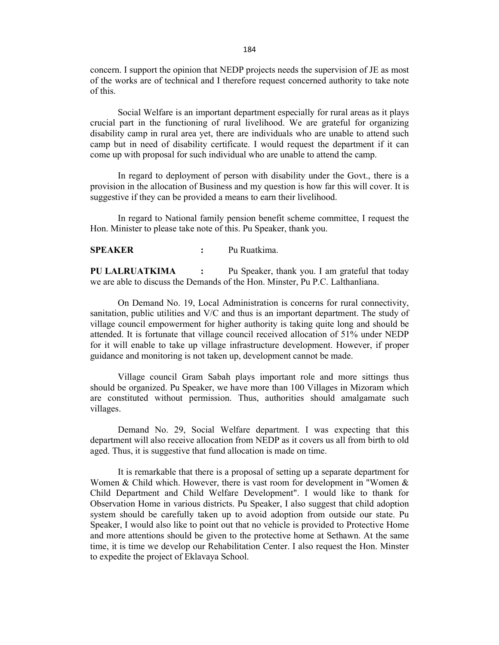concern. I support the opinion that NEDP projects needs the supervision of JE as most of the works are of technical and I therefore request concerned authority to take note of this.

Social Welfare is an important department especially for rural areas as it plays crucial part in the functioning of rural livelihood. We are grateful for organizing disability camp in rural area yet, there are individuals who are unable to attend such camp but in need of disability certificate. I would request the department if it can come up with proposal for such individual who are unable to attend the camp.

In regard to deployment of person with disability under the Govt., there is a provision in the allocation of Business and my question is how far this will cover. It is suggestive if they can be provided a means to earn their livelihood.

In regard to National family pension benefit scheme committee, I request the Hon. Minister to please take note of this. Pu Speaker, thank you.

**SPEAKER :** Pu Ruatkima.

**PU LALRUATKIMA :** Pu Speaker, thank you. I am grateful that today we are able to discuss the Demands of the Hon. Minster, Pu P.C. Lalthanliana.

On Demand No. 19, Local Administration is concerns for rural connectivity, sanitation, public utilities and V/C and thus is an important department. The study of village council empowerment for higher authority is taking quite long and should be attended. It is fortunate that village council received allocation of 51% under NEDP for it will enable to take up village infrastructure development. However, if proper guidance and monitoring is not taken up, development cannot be made.

Village council Gram Sabah plays important role and more sittings thus should be organized. Pu Speaker, we have more than 100 Villages in Mizoram which are constituted without permission. Thus, authorities should amalgamate such villages.

Demand No. 29, Social Welfare department. I was expecting that this department will also receive allocation from NEDP as it covers us all from birth to old aged. Thus, it is suggestive that fund allocation is made on time.

It is remarkable that there is a proposal of setting up a separate department for Women & Child which. However, there is vast room for development in "Women & Child Department and Child Welfare Development". I would like to thank for Observation Home in various districts. Pu Speaker, I also suggest that child adoption system should be carefully taken up to avoid adoption from outside our state. Pu Speaker, I would also like to point out that no vehicle is provided to Protective Home and more attentions should be given to the protective home at Sethawn. At the same time, it is time we develop our Rehabilitation Center. I also request the Hon. Minster to expedite the project of Eklavaya School.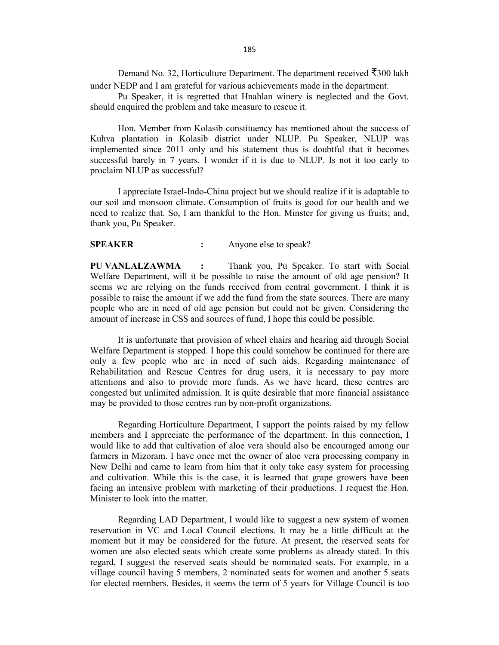Demand No. 32, Horticulture Department. The department received  $\bar{\bar{\mathcal{F}}}$ 300 lakh under NEDP and I am grateful for various achievements made in the department.

Pu Speaker, it is regretted that Hnahlan winery is neglected and the Govt. should enquired the problem and take measure to rescue it.

Hon. Member from Kolasib constituency has mentioned about the success of Kuhva plantation in Kolasib district under NLUP. Pu Speaker, NLUP was implemented since 2011 only and his statement thus is doubtful that it becomes successful barely in 7 years. I wonder if it is due to NLUP. Is not it too early to proclaim NLUP as successful?

I appreciate Israel-Indo-China project but we should realize if it is adaptable to our soil and monsoon climate. Consumption of fruits is good for our health and we need to realize that. So, I am thankful to the Hon. Minster for giving us fruits; and, thank you, Pu Speaker.

## **SPEAKER :** Anyone else to speak?

**PU VANLALZAWMA :** Thank you, Pu Speaker. To start with Social Welfare Department, will it be possible to raise the amount of old age pension? It seems we are relying on the funds received from central government. I think it is possible to raise the amount if we add the fund from the state sources. There are many people who are in need of old age pension but could not be given. Considering the amount of increase in CSS and sources of fund, I hope this could be possible.

It is unfortunate that provision of wheel chairs and hearing aid through Social Welfare Department is stopped. I hope this could somehow be continued for there are only a few people who are in need of such aids. Regarding maintenance of Rehabilitation and Rescue Centres for drug users, it is necessary to pay more attentions and also to provide more funds. As we have heard, these centres are congested but unlimited admission. It is quite desirable that more financial assistance may be provided to those centres run by non-profit organizations.

Regarding Horticulture Department, I support the points raised by my fellow members and I appreciate the performance of the department. In this connection, I would like to add that cultivation of aloe vera should also be encouraged among our farmers in Mizoram. I have once met the owner of aloe vera processing company in New Delhi and came to learn from him that it only take easy system for processing and cultivation. While this is the case, it is learned that grape growers have been facing an intensive problem with marketing of their productions. I request the Hon. Minister to look into the matter.

Regarding LAD Department, I would like to suggest a new system of women reservation in VC and Local Council elections. It may be a little difficult at the moment but it may be considered for the future. At present, the reserved seats for women are also elected seats which create some problems as already stated. In this regard, I suggest the reserved seats should be nominated seats. For example, in a village council having 5 members, 2 nominated seats for women and another 5 seats for elected members. Besides, it seems the term of 5 years for Village Council is too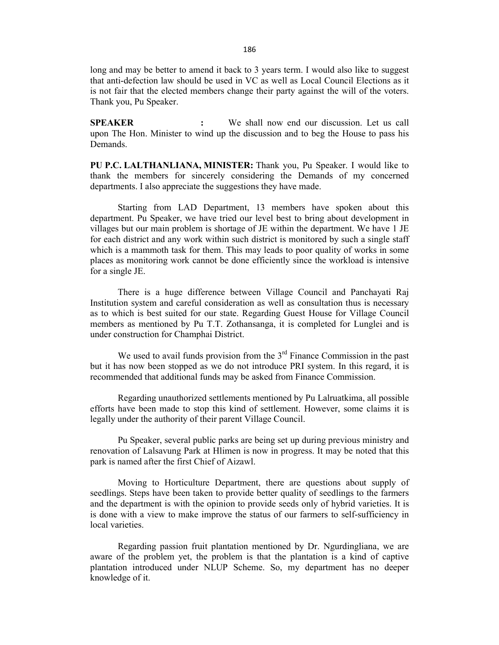long and may be better to amend it back to 3 years term. I would also like to suggest that anti-defection law should be used in VC as well as Local Council Elections as it is not fair that the elected members change their party against the will of the voters. Thank you, Pu Speaker.

**SPEAKER :** We shall now end our discussion. Let us call upon The Hon. Minister to wind up the discussion and to beg the House to pass his Demands.

**PU P.C. LALTHANLIANA, MINISTER:** Thank you, Pu Speaker. I would like to thank the members for sincerely considering the Demands of my concerned departments. I also appreciate the suggestions they have made.

Starting from LAD Department, 13 members have spoken about this department. Pu Speaker, we have tried our level best to bring about development in villages but our main problem is shortage of JE within the department. We have 1 JE for each district and any work within such district is monitored by such a single staff which is a mammoth task for them. This may leads to poor quality of works in some places as monitoring work cannot be done efficiently since the workload is intensive for a single JE.

There is a huge difference between Village Council and Panchayati Raj Institution system and careful consideration as well as consultation thus is necessary as to which is best suited for our state. Regarding Guest House for Village Council members as mentioned by Pu T.T. Zothansanga, it is completed for Lunglei and is under construction for Champhai District.

We used to avail funds provision from the  $3<sup>rd</sup>$  Finance Commission in the past but it has now been stopped as we do not introduce PRI system. In this regard, it is recommended that additional funds may be asked from Finance Commission.

Regarding unauthorized settlements mentioned by Pu Lalruatkima, all possible efforts have been made to stop this kind of settlement. However, some claims it is legally under the authority of their parent Village Council.

Pu Speaker, several public parks are being set up during previous ministry and renovation of Lalsavung Park at Hlimen is now in progress. It may be noted that this park is named after the first Chief of Aizawl.

Moving to Horticulture Department, there are questions about supply of seedlings. Steps have been taken to provide better quality of seedlings to the farmers and the department is with the opinion to provide seeds only of hybrid varieties. It is is done with a view to make improve the status of our farmers to self-sufficiency in local varieties.

Regarding passion fruit plantation mentioned by Dr. Ngurdingliana, we are aware of the problem yet, the problem is that the plantation is a kind of captive plantation introduced under NLUP Scheme. So, my department has no deeper knowledge of it.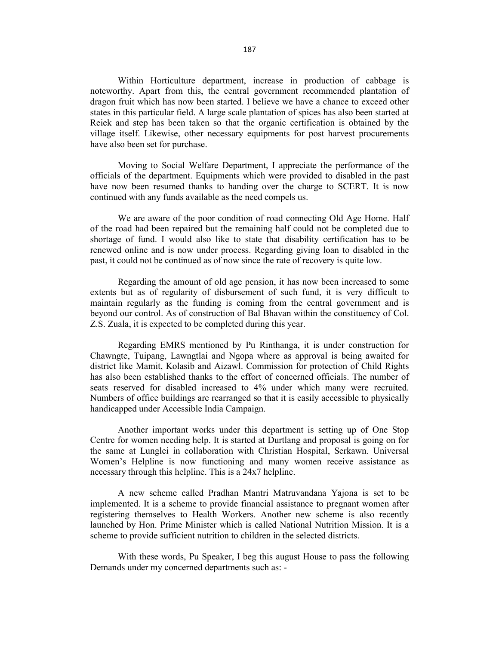Within Horticulture department, increase in production of cabbage is noteworthy. Apart from this, the central government recommended plantation of dragon fruit which has now been started. I believe we have a chance to exceed other states in this particular field. A large scale plantation of spices has also been started at Reiek and step has been taken so that the organic certification is obtained by the village itself. Likewise, other necessary equipments for post harvest procurements have also been set for purchase.

Moving to Social Welfare Department, I appreciate the performance of the officials of the department. Equipments which were provided to disabled in the past have now been resumed thanks to handing over the charge to SCERT. It is now continued with any funds available as the need compels us.

We are aware of the poor condition of road connecting Old Age Home. Half of the road had been repaired but the remaining half could not be completed due to shortage of fund. I would also like to state that disability certification has to be renewed online and is now under process. Regarding giving loan to disabled in the past, it could not be continued as of now since the rate of recovery is quite low.

Regarding the amount of old age pension, it has now been increased to some extents but as of regularity of disbursement of such fund, it is very difficult to maintain regularly as the funding is coming from the central government and is beyond our control. As of construction of Bal Bhavan within the constituency of Col. Z.S. Zuala, it is expected to be completed during this year.

Regarding EMRS mentioned by Pu Rinthanga, it is under construction for Chawngte, Tuipang, Lawngtlai and Ngopa where as approval is being awaited for district like Mamit, Kolasib and Aizawl. Commission for protection of Child Rights has also been established thanks to the effort of concerned officials. The number of seats reserved for disabled increased to 4% under which many were recruited. Numbers of office buildings are rearranged so that it is easily accessible to physically handicapped under Accessible India Campaign.

Another important works under this department is setting up of One Stop Centre for women needing help. It is started at Durtlang and proposal is going on for the same at Lunglei in collaboration with Christian Hospital, Serkawn. Universal Women's Helpline is now functioning and many women receive assistance as necessary through this helpline. This is a 24x7 helpline.

A new scheme called Pradhan Mantri Matruvandana Yajona is set to be implemented. It is a scheme to provide financial assistance to pregnant women after registering themselves to Health Workers. Another new scheme is also recently launched by Hon. Prime Minister which is called National Nutrition Mission. It is a scheme to provide sufficient nutrition to children in the selected districts.

With these words, Pu Speaker, I beg this august House to pass the following Demands under my concerned departments such as: -